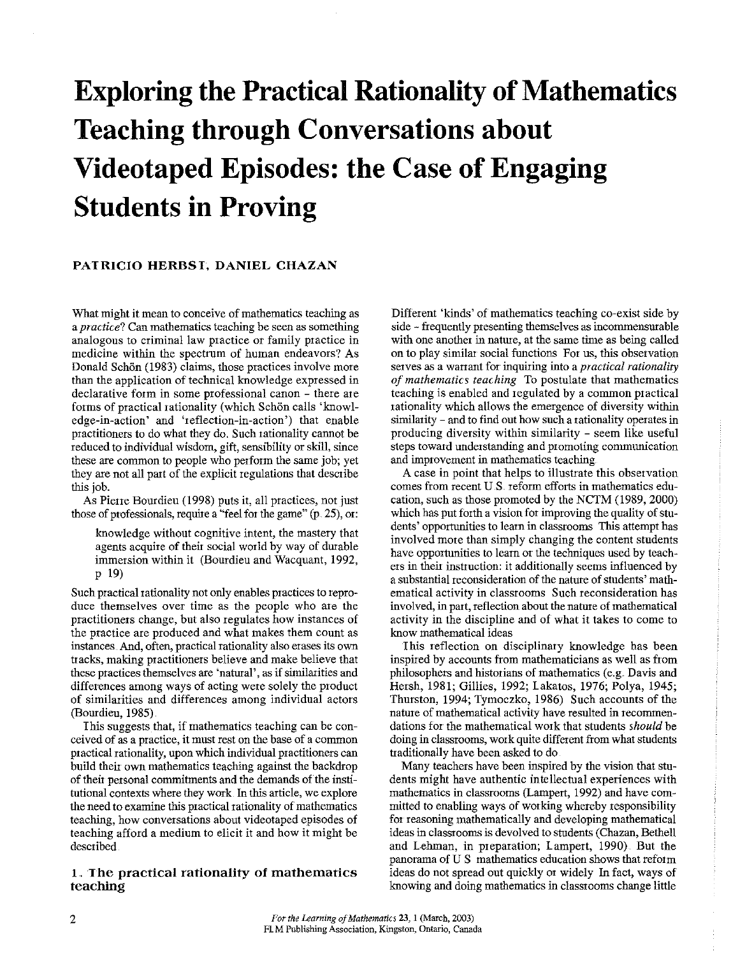# **Exploring the Practical Rationality of Mathematics Teaching through Conversations about Videotaped Episodes: the Case of Engaging Students in Proving**

## **PATRICIO HERBST, DANIEL CHAZAN**

**What might it mean to conceive of mathematics teaching as a** *practice?* **Can mathematics teaching be seen as something analogous to criminal law practice or family practice in medicine within the spectrum of human endeavors? As**  Donald Schön (1983) claims, those practices involve more than the application of technical knowledge expressed in **declarative form in some professional canon - there ate**  forms of practical rationality (which Schön calls 'knowl**edge-in-action' and 'reflection-in-action') that enable**  practitioners to do what they do. Such rationality cannot be reduced to individual wisdom, gift, sensibility or skill, since these are common to people who perform the same job; yet they are not all part of the explicit regulations that describe this job.

As Pierre Bomdieu (1998) puts it, all practices, not just those of professionals, require a "feel for the game" (p. 25), or:

knowledge without cognitive intent, the mastery that agents acquire of their social world by way of durable immersion within it (Bourdieu and Wacquant, 1992, p 19)

Such practical rationality not only enables practices to reproduce themselves over time as the people who are the **practitioners change, but also regulates how instances of**  the practice are produced and what makes them count as **instances. And, often, practical rationality also erases its own**  tracks, making practitioners believe and make believe that **these practices themselves are 'natural', as if similarities and**  differences among ways of acting were solely the product **of similarities and differences among individual actors**  (Bourdieu, 1985)

I his suggests that, if mathematics teaching can be con**ceived of as a practice, it must rest on the base of a common**  practical rationality, upon which individual practitioners can build their own mathematics teaching against the backdrop of their personal commitments and the demands of the institutional contexts where they work In this article, we explore the need to examine this practical rationality of mathematics teaching, how conversations about videotaped episodes of teaching afford a medium to elicit it and how it might be described

## **1. The practical rationality of mathematics teaching**

Different 'kinds' of mathematics teaching co-exist side by side - frequently presenting themselves as incommensurable with one another in nature, at the same time as being called **on to play similar social functions For us, this observation**  serves as a warrant for inquiring into a *practical rationality of mathematics teaching* To postulate that mathematics teaching is enabled and regulated by a common practical rationality which allows the emergence of diversity within similarity - and to find out how such a rationality operates in producing diversity within similarity - seem like useful steps toward understanding and promoting communication **and improvement in mathematics teaching** 

A case in point that helps to illustrate this observation **comes from recent U.S reform efforts in mathematics edu**cation, such as those promoted by the NCTM (1989, 2000) which has put forth a vision for improving the quality of stu**dents' opportunities to learn in classrooms This attempt has**  involved more than simply changing the content students have opportunities to learn or the techniques used by teachers in their instruction: it additionally seems influenced by a substantial reconsideration of the nature of students' math**ematical activity in classrooms Such reconsideration has**  involved, in part, reflection about the nature of mathematical activity in the discipline and of what it takes to come to know mathematical ideas

This reflection on disciplinary knowledge has been inspired by accounts from mathematicians as well as from philosophers and historians of mathematics (e.g. Davis and Hersh, 1981; Gillies, 1992; Lakatos, 1976; Polya, 1945; Thurston, 1994; Tymoczko, 1986) Such accounts of the nature of mathematical activity have resulted in recommendations for the mathematical work that students *should* be doing in classrooms, work quite different from what students tiaditionally have been asked to do

Many teachers have been inspired by the vision that students might have authentic intellectual experiences with mathematics in classrooms (Lampert, 1992) and have committed to enabling ways of working whereby responsibility for reasoning mathematically and developing mathematical ideas in classrooms is devolved to students (Chazan, Bethell and Lehman, in preparation; Lampert, 1990). But the **panorama of U S mathematics education shows that reform**  ideas do not spread out quickly or widely In fact, ways of knowing and doing mathematics in classrooms change little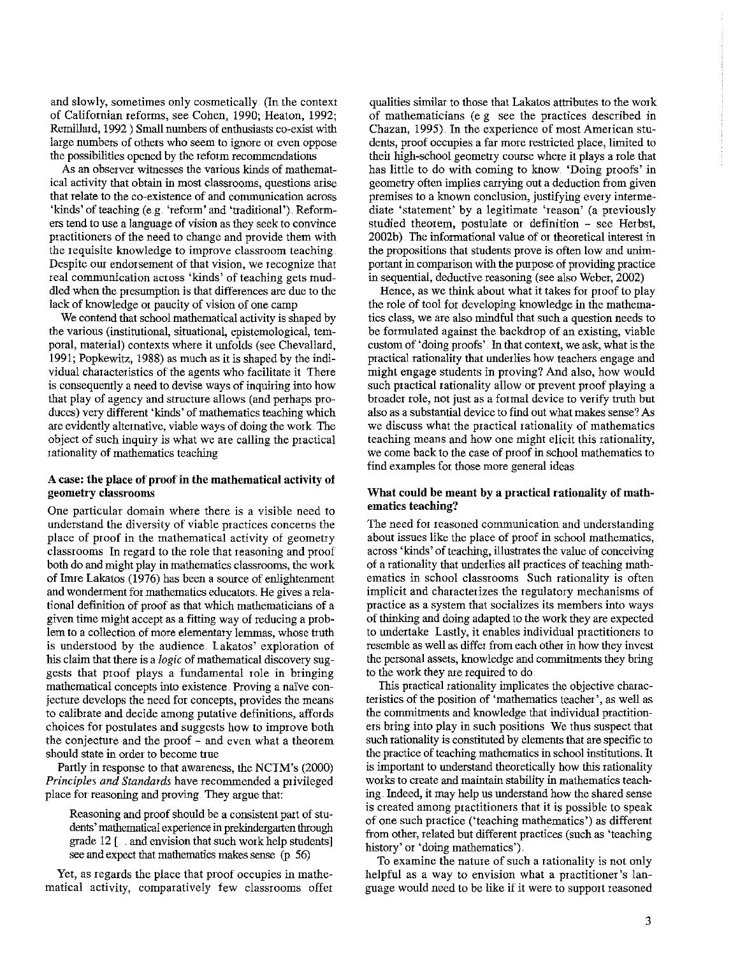and slowly, sometimes only cosmetically. (In the context of Californian reforms, see Cohen, 1990; Heaton, 1992; Remillard, 1992) Small numbers of enthusiasts co-exist with large numbers of others who seem to ignore or even oppose the possibilities opened by the reform recommendations

As an observer witnesses the various kinds of mathematical activity that obtain in most classrooms, questions atise that relate to the co-existence of and communication across 'kinds' of teaching (e.g. 'reform' and 'traditional'). Reformers tend to use a language of vision as they seek to convince practitioners of the need to change and provide them with the requisite knowledge to improve classroom teaching Despite out endorsement of that vision, we recognize that real communication across 'kinds' of teaching gets muddled when the presumption is that differences are due to the lack of knowledge or paucity of vision of one camp

We contend that school mathematical activity is shaped by the various (institutional, situational, epistemological, temporal, material) contexts where it unfolds (see Chevallard, 1991; Popkewitz, 1988) as much as it is shaped by the individual characteristics of the agents who facilitate it There is consequently a need to devise ways of inquiting into how that play of agency and structure allows (and perhaps produces) vety different 'kinds' of mathematics teaching which are evidently altemative, viable ways of doing the work 'The object of such inquity is what we ate calling the practical rationality of mathematics teaching

## A case: the place of proof in the mathematical activity of **geometry classrooms**

One particular domain where there is a visible need to understand the diversity of viable practices concerns the place of ptoof in the mathematical activity of geometry classtooms In regard to the role that reasoning and proof both do and migbt play in mathematics classrooms, the work of Inne Lakatos (1976) has been a somce of enlightenment and wonderment for mathematics educators. He gives a relational definition of proof as that which mathematicians of a given time might accept as a fitting way of reducing a problem to a collection of more elementary lemmas, whose truth is understood by the audience Lakatos' exploration of his claim that there is a *logic* of mathematical discovery suggests that proof plays a fundamental role in bringing mathematical concepts into existence. Proving a nalve conjecture develops the need for concepts, provides the means to calibrate and decide among putative definitions, affords choices for postulates and suggests how to improve both the conjecture and the proof - and even what a theorem should state in order to become true

Partly in response to that awareness, the NCIM's (2000) *Principles and Standards* have recommended a privileged place for reasoning and proving They argue that:

Reasoning and proof should be a consistent part of students' mathematical experience in prekindergarten through grade 12 [. . and envision that such work help students] see and expect that mathematics makes sense (p. 56)

Yet, as regards the place that proof occupies in mathematical activity, comparatively few classrooms offer

qualities similar to those that Lakatos attributes to the work of mathematicians (e g see the practices described in Chazan, 1995). In the experience of most American students, proof occupies a far more restricted place, limited to theit high-school geometry course where it plays a role that has little to do with coming to know. 'Doing proofs' in geometry often implies carrying out a deduction from given premises to a known conclusion, justifying every intermediate 'statement' by a legitimate 'reason' (a previously studied theorem, postulate or definition - see Herbst, 2002b) The informational value of or theoretical interest in the propositions that students prove is often low and unimportant in comparison with the pmpose of providing practice in sequential, deductive reasoning (see also Weber, 2002)

Hence, as we think about what it takes for proof to play the role of tool for developing knowledge in the mathematics class, we are also mindful that such a question needs to be formulated against the backdrop of an existing, viable custom of 'doing proofs' In that context, we ask, wbat is the practical rationality that underlies how teachers engage and might engage students in proving? And also, how would such practical rationality allow or prevent proof playing a broader role, not just as a formal device to verify truth but also as a substantial device to find out what makes sense? As we discuss what the practical rationality of mathematics teaching means and how one might elicit this rationality, we come back to the case of proof in school mathematics to find examples for those more genetal ideas

#### What could be meant by a practical rationality of math**ematics teaching?**

The need for reasoned communication and understanding about issues like the place of proof in school mathematics, across 'kinds' of teaching, illustrates the value of conceiving of a rationality that underlies all practices of teaching mathematics in school classrooms Such rationality is often implicit and characterizes the regulatory mechanisms of practice as a system that socializes its members into ways of thinking and doing adapted to the work they are expected to undertake lastly, it enables individual practitioners to resemble as well as differ from each other in how they invest the personal assets, knowledge and commitments they bring to the work they are required to do

This practical rationality implicates the objective characteristics of the position of 'mathematics teacher', as well as the commitments and knowledge that individual practitioners bting into play in such positions We thus suspect that such rationality is constituted by elements that are specific to the ptactice of teaching mathematics in school institutions. It is important to understand theoretically how this rationality works to create and maintain stability in mathematics teaching. Indeed, it may help us understand how the shared sense is created among practitioners that it is possible to speak of one such practice ('teaching mathematics') as different from other, related but different practices (such as 'teaching history' or 'doing mathematics').

To examine the nature of such a rationality is not only helpful as a way to envision what a practitioner's language would need to be like if it were to support reasoned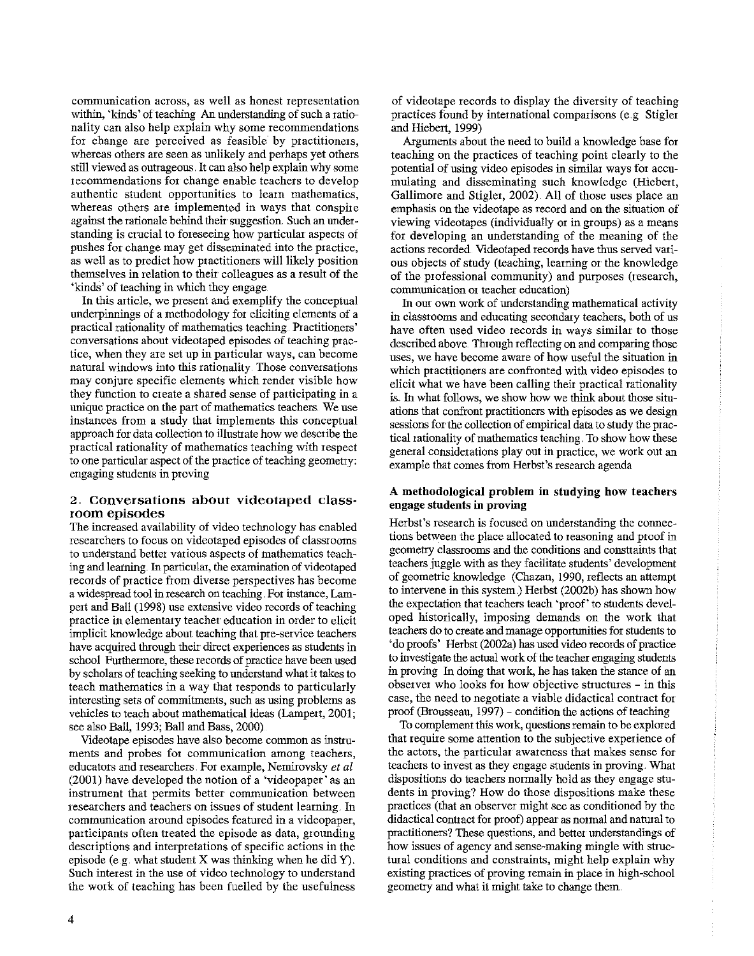communication across, as well as honest tepresentation within, 'kinds' of teaching An understanding of such a rationality can also help explain why some recommendations for change are perceived as feasible by ptactitioners, whereas others are seen as unlikely and perhaps yet others still viewed as outrageous. It can also help explain why some recommendations for change enable teachers to develop authentic student opportunities to leatn mathematics, whereas others are implemented in ways that conspire against the rationale behind their suggestion. Such an understanding is crucial to foreseeing how particular aspects of pushes for change may get disseminated into the practice, as well as to predict how practitioners will likely position themselves in relation to their colleagoes as a result of the 'kinds' of teaching in which they engage

In this article, we present and exemplify the conceptual underpinnings of a methodology for eliciting elements of a practical rationality of mathematics teaching. Practitioners' conversations about videotaped episodes of teaching practice, when they are set up in patticular ways, can become natural windows into this rationality. Those conversations may conjure specific elements which rendet visible how they function to create a shared sense of participating in a unique practice on the part of mathematics teachers. We use instances from a study that implements this conceptual approach for data collection to illustrate how we describe the ptactical rationality of mathematics teaching with tespect to one particular aspect of the practice of teaching geometry: engaging students in proving

## 2. Conversations about videotaped classroom episodes

The increased availability of video technology has enabled researchers to focus on videotaped episodes of classrooms to understand better various aspects of mathematics teaching and learning. In particular, the examination of videotaped records of practice from diverse perspectives has become a widespread tool in research on teaching. For instance, Lampert and Ball (1998) use extensive video records of teaching practice in elementary teacher education in order to elicit implicit knowledge about teaching that pre-service teachers have acquired through their direct experiences as students in school Furthermore, these records of practice have been used by scholars of teaching seeking to understand what it takes to teach mathematics in a way that responds to particularly interesting sets of commitments, such as using problems as vehicles to teach about mathematical ideas (Lampert, 2001; see also Ball, 1993; Ball and Bass, 2000)

Videotape episodes have also become common as instruments and probes for communication among teachers, educators and researchers. For example, Nemirovsky *et al* (2001) have developed the notion of a 'videopaper' as an insttument that permits better communication between researchers and teachers on issues of student learning. In communication around episodes featured in a videopaper, participants often treated the episode as data, grounding descriptions and interpretations of specific actions in the episode (e.g. what student  $X$  was thinking when he did  $Y$ ). Such interest in the use of video technology to understand the work of teaching has been fuelled by the usefulness

of videotape records to display the diversity of teaching practices found by international comparisons (e.g. Stigler and Hiebert, 1999)

Arguments about the need to build a knowledge base for teaching on the practices of teaching point clearly to the potential of using video episodes in similar ways for accumulating and disseminating such knowledge (Hiebert, Gallimore and Stigler, 2002) All of those uses place an emphasis on the videotape as record and on the situation of viewing videotapes (individually or in groups) as a means for developing an understanding of the meaning of the actions recorded. Videotaped records have thus served various objects of study (teaching, learning or the knowledge of the professional community) and purposes (research, communication or teacher education)

In our own work of understanding mathematical activity in classrooms and educating secondary teachers, both of us have often used video records in ways similar to those described above. Through reflecting on and comparing those uses, we have become aware of how useful the situation in which practitioners are confronted with video episodes to elicit what we have been calling their practical rationality is. In what follows, we show how we think about those situations that confront practitioners with episodes as we design sessions for the collection of empirical data to study the practical rationality of mathematics teaching. To show how these general considerations play out in practice, we work out an example that comes from Herbst's research agenda

## A methodological problem in studying how teachers engage students in proving

Herbst's research is focused on understanding the connections between the place allocated to reasoning and proof in geometry classrooms and the conditions and constraints that teachers juggle with as they facilitate students' development of geometric knowledge (Chazan, 1990, reflects an attempt to intervene in this system.) Herbst (2002b) has shown how the expectation that teachers teach 'proof' to students developed historically, imposing demands on the work that teachers do to create and manage opportunities for students to 'do proofs' Herbst (2002a) bas used video records of practice to investigate the actual work of the teacher engaging students in proving In doing that work, he has taken the stance of an observer who looks for how objective structures - in this case, the need to negotiate a viable didactical contract for proof (Brousseau, 1997) - condition the actions of teaching

To complement this work, questions remain to be explored that require some attention to the subjective experience of the actors, the particular awareness that makes sense fat teachers to invest as they engage students in proving. What dispositions do teachers normally hold as they engage students in proving? How do those dispositions make these practices (that an observer might see as conditioned by the didactical contract for proof) appear as normal and natmal to practitioners? These questions, and better understandings of how issues of agency and sense-making mingle with structural conditions and constraints, might help explain why existing practices of proving remain in place in high-school geometry and what it might take to change them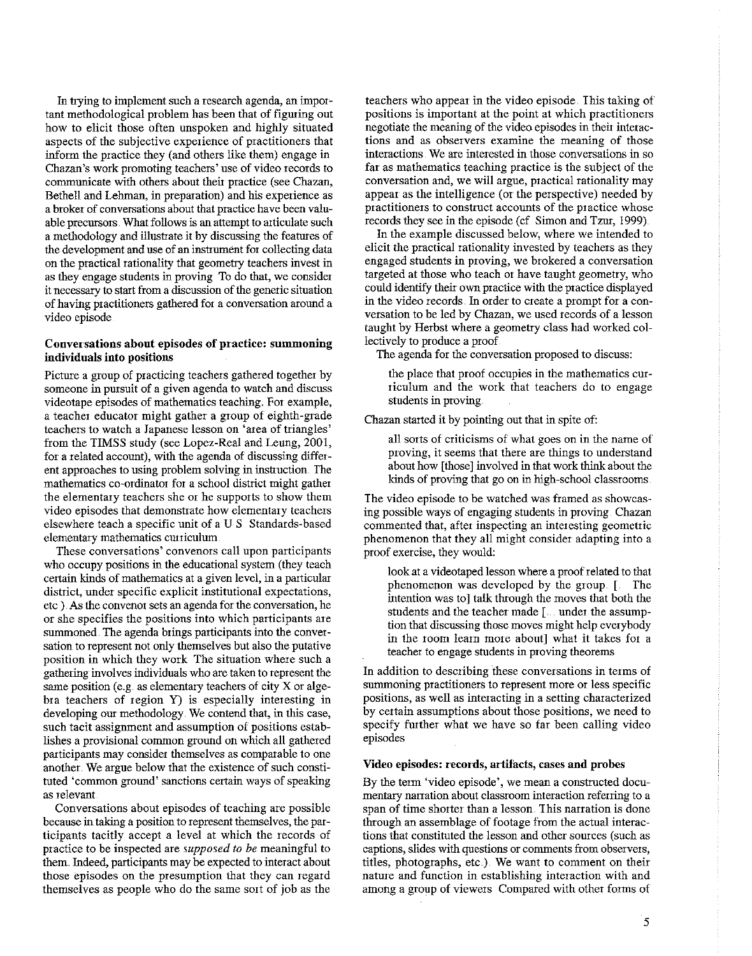In trying to implement such a research agenda, an important methodological problem has been that of figuring out how to elicit those often unspoken and highly situated aspects of the subjective expeiience of practitioners that inform the practice they (and others like them) engage in Chazan's work promoting teachers' use of video records to communicate with others about theit practice (see Chazan, Bethell and Lehman, in preparation) and his experience as a broker of conversations about that practice have been valuable precursors. What follows is an attempt to articulate such a methodology and illustrate it by discussing the features of the development and use of an instrument for collecting data on the practical rationality that geometry teachers invest in as they engage students in proving To do that, we consider it necessary to start from a discussion of the genetic situation of having practitioners gathered for a conversation around a video episode

## **Conversations about episodes of practice: summoning**  individuals into positions

Picture a group of practicing teachers gathered together by someone in pursuit of a given agenda to watch and discuss videotape episodes of mathematics teaching. For example, a teacher educator might gather a group of eighth-grade teachers to watch a Japanese lesson on 'area of triangles' from the TIMSS study (see Lopez-Real and Leung, 2001, for a related account), with the agenda of discussing different approaches to using problem solving in instruction. The mathematics co-ordinator for a school district might gather the elementary teachers she or he supports to show them video episodes that demonstrate how elementary teachers elsewhere teach a specific unit of aU S Standards-based elementary mathematics curriculum

These conversations' convenors call upon participants who occupy positions in the educational system (they teach certain kinds of mathematics at a given level, in a particular district, under specific explicit institutional expectations, etc ) . As the convenor sets an agenda for the conversation, he or she specifies the positions into which participants are summoned. The agenda brings participants into the conversation to represent not only themselves but also the putative position in which they work The situation where such a gathering involves individuals who are taken to represent the same position (e.g. as elementary teachers of city X or algebra teachers of region Y) is especially interesting in developing om methodology. We contend that, in this case, such tacit assignment and assumption of positions establishes a provisional common ground on which all gathered participants may consider themselves as comparable to one another. We argue below that the existence of such constituted 'common ground' sanctions certain ways of speaking as relevant

Conversations about episodes of teaching are possible because in taking a position to represent themselves, the participants tacitly accept a level at which the records of practice to be inspected are *supposed to be* meaulngful to them. Indeed, participants may be expected to interact about those episodes on the presumption that they can regard themselves as people who do the same sort of job as the

teachers who appear in the video episode. This taking of positions is important at the point at which practitioners negotiate the meaning of the video episodes in their interactions and as observers examine the meaning of those interactions We are interested in those conversations in so far as mathematics teaching practice is the subject of the conversation and, we will argue, practical rationality may appear as the intelligence (or the perspective) needed by practitioners to construct accounts of the practice whose records they see in the episode (cf. Simon and Tzur, 1999).

In the example discussed below, where we intended to elicit the practical rationality invested by teachers as they engaged students in proving, we brokered a conversation targeted at those who teach or have taught geometry, who could identify their own practice with the practice displayed in the video records. In order to create a prompt for a conversation to be led by Chazan, we used records of a lesson taught by Herbst where a geometry class had worked collectively to produce a proof

The agenda for the conversation proposed to discuss:

the place that proof occupies in the mathematics curriculum and the work that teachers do to engage students in proving

Chazan started it by pointing out that in spite of:

all sorts of criticisms of what goes on in the name of proving, it seems that there are things to understand about how [those) involved in that work think about the kinds of proving that go on in high-school classrooms

The video episode to be watched was framed as showcasing possible ways of engaging students in proving Chazan commented that, after inspecting an interesting geometric phenomenon that they all might consider adapting into a proof exercise, they would:

look at a videotaped lesson where a proof related to that phenomenon was developed by the group [ The intention was to) talk through the moves that both the students and the teacher made [... under the assumption that discussing those moves might help everybody in the room learn more about] what it takes for a teacher to engage students in proving theorems

In addition to describing these conversations in terms of summoning practitioners to represent more or less specific positions, as well as interacting in a setting characterized by certain assumptions about those positions, we need to specify further what we have so far been calling video episodes

## Video episodes: records, artifacts, cases and probes

By the term 'video episode', we mean a constructed documentary narration about classroom interaction referring to a span of time shorter than a lesson. This narration is done through an assemblage of footage from the actual interactions that constituted the lesson and other sources (such as captions, slides with questions or comments from observers, titles, photographs, etc.) We want to comment on their nature and function in establishing interaction with and among a group of viewers Compared with other forms of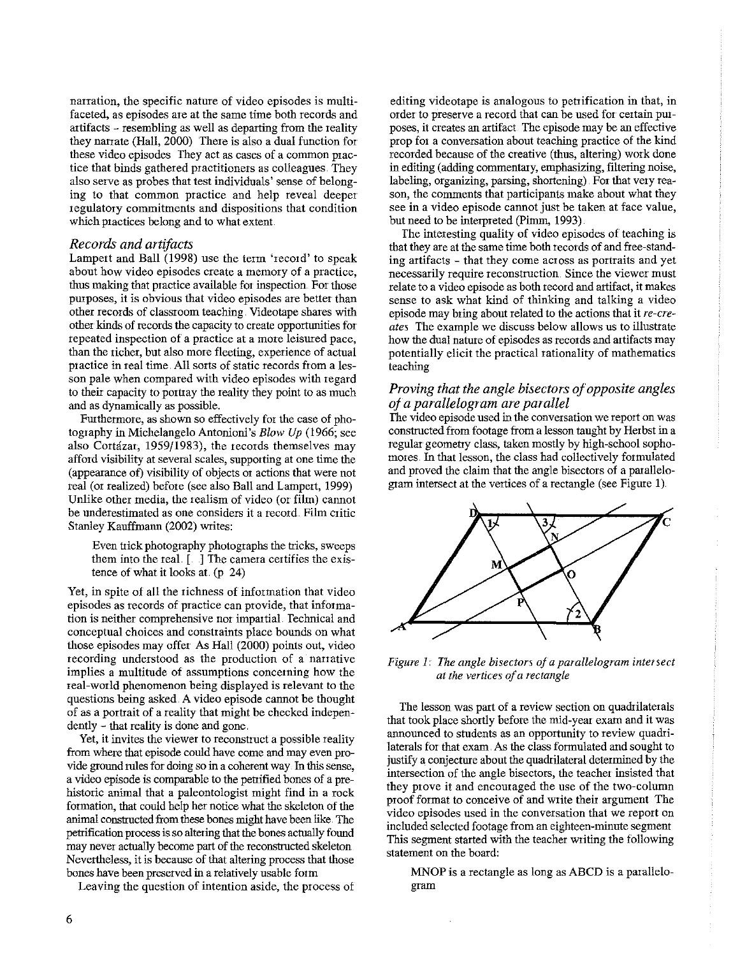**narration, the specific nature of video episodes is multifaceted, as episodes are at the same time both records and**  attifacts - resembling as well as depatting from the reality they narrate (Hall, 2000) There is also a dual function for **these video episodes They act as cases of a common prac**tice that binds gathered practitioners as colleagues. They also serve as probes that test individuals' sense of belonging to that common practice and help reveal deeper regulatory commitments and dispositions that condition which practices belong and to what extent

## *Records and artifacts*

Lampert and Ball (1998) use the term 'record' to speak **about how video episodes create a memory of a practice,**  thus making that practice available for inspection For those purposes, it is obvious that video episodes are better than other records of classroom teaching. Videotape shares with other kinds of records the capacity to create opportunities for repeated inspection of a practice at a more leisured pace. than the richer, but also more fleeting, experience of actual practice in real time. All sorts of static records from a lesson pale when compared with video episodes with regard to their capacity to porttay the reality they point to as much and as dynantically as possible.

Furthermore, as shown so effectively for the case of photography in Michelangelo Antonioni's *Blow Up* (1966; see also Cortazar, 1959/1983), the records themselves may **afford visibility at several scales, supporting at one time the**  ( appeatance of) visibility of objects or actions that were not real (or realized) before (see also Ball and Lampert, 1999) Unlike other media, the realism of video (or film) cannot **be underestimated as one considers it a record. Film critic**  Stanley Kauffmann (2002) writes:

Even trick photography photographs the tricks, sweeps them into the real [. ] The camera certifies the existence of what it looks at (p 24)

Yet, in spite of all the richness of information that video **episodes as records of practice can provide, that information is neither comprehensive nor impartial Technical and**  conceptual choices and constraints place bounds on what those episodes may offer As Hail (2000) points out, video **recording understood as the production of a narrative implies a multitude of assumptions concerning how the**  real-world phenomenon being displayed is relevant to the questions being asked. A video episode cannot be thought of as a portrait of a reality that might be checked independently - that reality is done and gone.

**Yet, it invites the viewer to reconstruct a possible reality**  from where that episode conid have come and may even provide ground rules for doing so in a coherent way. In this sense, a video episode is comparable to the petrified bones of a prehistoric animal that a paleontologist might find in a rock formation, that could help her notice what the skeleton of the animal constructed from these bones might have been like. The petrification process is so altering that the bones actually found may never actually become part of the reconstructed skeleton Nevertheless, it is because of that altering process that those bones have been preserved in a relatively usable form

Leaving the question of intention aside, the process of

**editing videotape is analogous to petrification in that, in order to preserve a record that can be used for certain purposes, it creates an artifact The episode may be an effective**  prop for a conversation about teaching practice of the kind recorded because of the creative (thus, altering) work done in editing (adding commentary, emphasizing, filtering noise, labeling, organizing, parsing, shortening). For that very reason, the comments that participants make about what they **see in a video episode cannot just be taken at face value,**  but need to be interpreted (Pinnn, 1993)

The interesting quality of video episodes of teaching is that they are at the same time both records of and free-standing artifacts - that they come across as portraits and yet **necessarily require reconstruction. Since the viewer must**  relate to a video episode as both record and attifact, it makes sense to ask what kind of thinking and talking a video episode may bring about related to the actions that it  $re-cre$ *ates* The exatnple we discuss below allows us to illustrate how the dual nature of episodes as records and artifacts may potentially elicit the practical rationality of mathematics teaching

# *Proving that the angle bisectors of opposite angles oja parallelogram are parallel*

**The video episode used in the conversation we report on was**  constructed from footage from a lesson taught by Herbst in a regulat geometry class, taken mostly by high-school sophomores. In that lesson, the class had collectively formulated and proved the claim that the angle bisectors of a patallelogram intersect at the vertices of a rectangle (see Figure I)



*Figure I. The angle bisectors of a parallelogram intersect at the vertices of a rectangle* 

**The lesson was part of a review section on quadrilaterals**  that took place shortly before the mid-year exam and it was announced to students as an opportunity to review quadrilaterals for that exam. As the class formulated and sought to justify a conjecture about the quadrilateral determined by the **intersection of the angle bisectors, the teacher insisted that**  they prove it and encouraged the use of the two-column proof format to conceive of and write their argument The **video episodes used in the conversation that we report on**  included selected footage from an eighteen-minute segment This segment slatted with the teacher writing the following statement on the board:

MNOP is a rectangle as long as ABCD is a patallelogram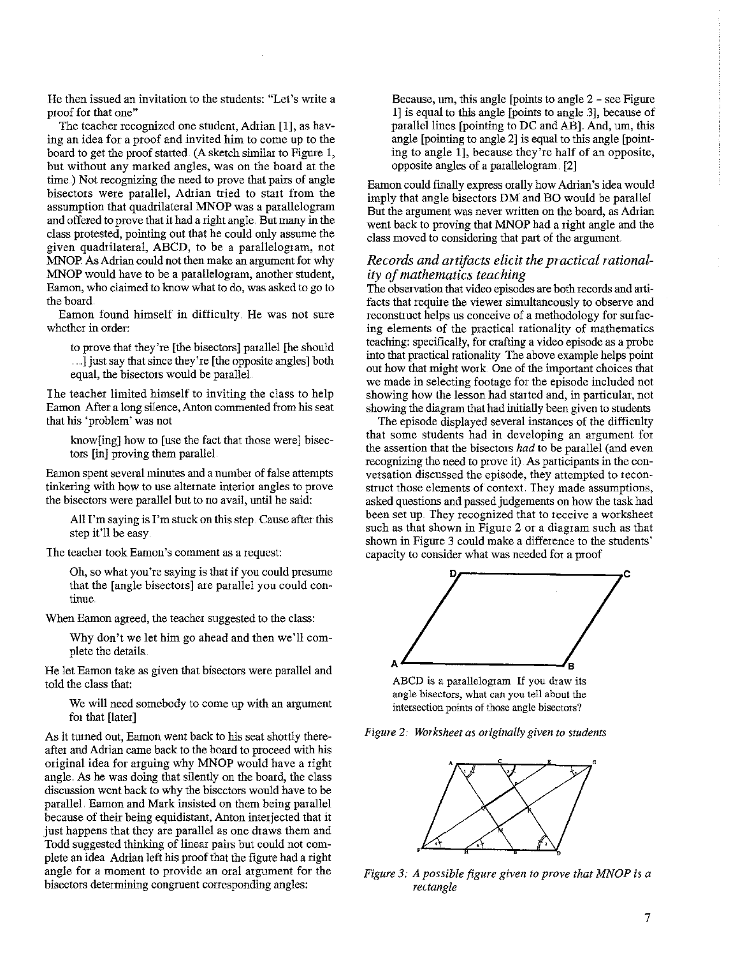He then issued an invitation to the students: "Let's Wtite a proof for that one"

The teacher recognized one student, Adtian [1], as having an idea for a proof and invited him to come up to the board to get the proof started. (A sketch similar to Figure 1, but without any marked angles, was on the board at the time) Not recognizing the need to prove that pairs of angle bisectors were parallel, Adtian tried to start from the assumption that quadrilateral MNOP was a parallelogram and offered to prove that it had a right angle. But many in the class protested, pointing out that he could only assume the given quadtilateral, ABCD, to be a parallelogram, not MNOP As Adrian could not then make an argument for why MNOP would have to be a parallelogram, another student, Eamon, who claimed to know what to do, was asked to go to the board.

Eamon found himself in difficulty. He was not sure whether in order:

to prove that they're [the bisectors] parallel [he should ] just say that since they're [the opposite angles] both equal, the bisectors would be parallel.

The teacher limited himself to inviting the class to help Eamon After a long silence, Anton commented from bis seat that bis 'problem' was not

know[ing] how to [use the fact that those were] bisectors [in] proving them parallel.

Eamon spent several minutes and a number of false attempts tinkering with how to use alternate interior angles to prove the bisectors were parallel but to no avail, until he said:

All I'm saying is I'm stuck on this step. Cause after this step it'll be easy

**The teacher took Eamon's comment as a request:** 

Oh, so what you're saying is that if you could presume that the [angle bisectors] are parallel you could con**tinue** 

When Eamon agreed, the teacher suggested to the class:

Why don't we let him go ahead and then we'll complete the details

He let Eamon take as given that bisectors were parallel and told the class that:

We will need somebody to come up with an argument for that [later]

As it turned out, Eamon went back to his seat shortly thereafter and Adrian came back to the board to proceed with his original idea for arguing why MNOP would have a right angle. As he was doing that silently on the board, the class discussion went back to why the bisectors would have to be parallel. Eamon and Mark insisted on them being parallel because of their being equidistant, Anton interjected that it just happens that they are parallel as one draws them and Todd suggested thinking of linear pairs but could not complete an idea Adtian left bis proof that the figure had a right angle for a moment to provide an oral argument for the bisectors determining congruent corresponding angles:

Because, um, this angle  $[points to angle 2 - see Figure]$ 1] is equal to this angle [points to angle 3], because of parallel lines [pointing to DC and AB]. And, um, this angle [pointing to angle 2] is equal to *this* angle [pointing to angle 1], because they're half of an opposite, opposite angles of a parallelogram. [2]

Eamon could finally express orally how Adrian's idea would imply that angle bisectors DM and BO would be parallel But the argument was never written on the board, as Adrian went back to proving that MNOP had a right angle and the class moved to considering that part of the argument.

## *Records and artifacts elicit the practical rationality of mathematics teaching*

The observation that video episodes are both records and arti**facts that require the viewer simultaneously to observe and**  reconstruct helps us conceive of a methodology for surfacing elements of the practical rationality of mathematics teaching: specifically, for crafting a video episode as a probe into that practical rationality The above example helps point out how that might work One of the important choices that we made in selecting footage for the episode included not showing how the lesson had started and, in particular, not showing the diagram that had initially been given to students

The episode displayed several instances of the difficulty that some students had in developing an argument for the assertion that the bisectors *had* to be parallel (and even recognizing the need to prove it) As participants in the con**versation discussed the episode, they attempted to recon**struct those elements of context They made assumptions, asked questions and passed judgements on how the task had been set up They recognized that to receive a worksheet such as that shown in Figure 2 or a diagram such as that shown in Figure 3 could make a difference to the students' capacity to consider what was needed for a proof



**ABCD is a parallelogram If you draw its angle bisectors, what can you tell about the intersection points of those angle bisectors?** 

Figure 2: Worksheet as originally given to students



*Figure 3: A possible figure given to prove that MNOP* is *a rectangle*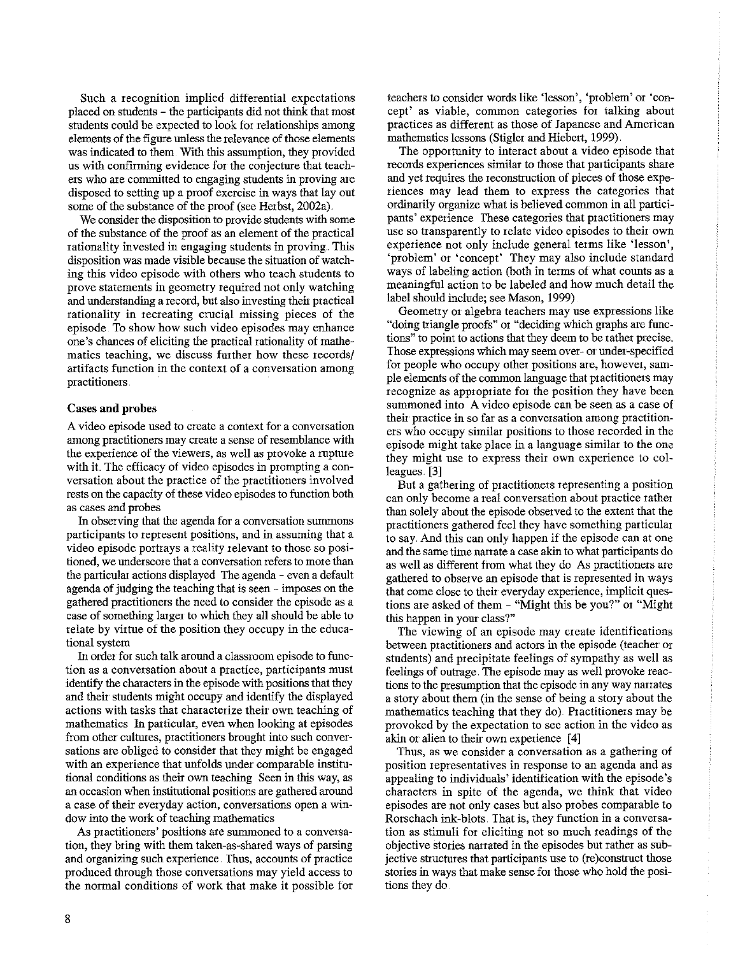Such a recognition implied differential expectations placed on students - the participants did not think that most students could be expected to look for relationships among elements of the figure unless the relevance of those elements was indicated to them With this assumption, they provided us with confirming evidence for the conjecture that teachers who are committed to engaging students in proving are disposed to setting up a proof exercise in ways that lay out some of the substance of the proof (see Herbst, 2002a).

We consider the disposition to provide students with some of the substance of the proof as an element of the practical rationality invested in engaging students in proving. This disposition was made visible because the situation of watching this video episode with others who teach students to prove statements in geometry required not only watching and understanding a record, but also investing theit practical rationality in recreating crucial missing pieces of the episode To show how such video episodes may enhance one's chances of eliciting the practical rationality of mathematics teaching, we discuss further how these records/ artifacts function in the context of a conversation among practitioners

## Cases and probes

A video episode used to create a context for a conversation among practitioners may create a sense of resemblance with the experience of the viewers, as well as provoke a rupture with it. The efficacy of video episodes in prompting a conversation about the practice of the practitioners involved rests on the capacity of these video episodes to function both as cases and probes

In observing that the agenda for a conversation summons participants to represent positions, and in assuming that a video episode portrays a reality relevant to those so positioned, we underscore that a conversation refers to more than the particular actions displayed The agenda - even a default agenda of judging the teaching that is seen - imposes on the gathered practitioners the need to consider the episode as a case of something larger to which they all should be able to relate by virtue of the position they occupy in the educational system

In order for such talk around a classroom episode to function as a conversation about a practice, participants must identify the characters in the episode with positions that they and theit students might occupy and identify the displayed actions with tasks that characterize their own teaching of mathematics In particular, even when looking at episodes from other cultures, practitioners brought into such conversations are obliged to consider that they might be engaged with an experience that unfolds under comparable institutional conditions as theit own teaching Seen in this way, as an occasion when institutional positions are gathered around a case of their everyday action, conversations open a window into the work of teaching mathematics

As practitioners' positions are summoned to a conversation, they bring with them taken-as-shared ways of parsing and organizing such experience. Thus, accounts of practice produced through those conversations may yield access to the normal conditions of work that make it possible for teachers to consider words like 'lesson', 'problem' or 'concept' as viable, common categories for talking about practices as different as those of Japanese and American mathematics lessons (Stigler and Hiebert, 1999).

The opportunity to interact about a video episode that records experiences similar to those that participants share and yet requites the reconstruction of pieces of those experiences may lead them to express the categories that ordinarily organize what is believed common in all participants' experience These categories that practitioners may use so transparently to relate video episodes to their own experience not only include general terms like 'lesson', 'problem' or 'concept' They may also include standard ways of labeling action (both in terms of what counts as a meaningful action to be labeled and how much detail the label should include; see Mason, 1999)

Geometry or algebra teachers may use expressions like "doing triangle proofs" or "deciding which graphs are functions" to point to actions that they deem to be rather precise. Those expressions which may seem over- or under-specified for people who occupy other positions are, however, sample elements of the common language that practitioners may recognize as appropriate for the position they have been summoned into A video episode can be seen as a case of their practice in so far as a conversation among practitioners who occupy similar positions to those recorded in the episode might take place in a language similar to the one they might use to express their own experience to colleagues. [3]

But a gathering of practitioners representing a position can only become a real conversation about practice rather than solely about the episode observed to the extent that the practitioners gathered feel they have something particular to say. And this can only happen if the episode can at one and the same time narrate a case akin to what participants do as well as different from what they do As practitioners are gathered to observe an episode that is represented in ways that come close to their everyday experience, implicit questions are asked of them- "Might this be you?" or "Might this happen in your class?"

The viewing of an episode may create identifications between practitioners and actors in the episode (teacher or students) and precipitate feelings of sympathy as well as feelings of outrage. The episode may as well provoke reactions to the presumption that the episode in any way narrates a story about them (in the sense of being a story about the mathematics teaching that they do) Practitioners may be provoked by the expectation to see action in the video as akin or alien to their own experience [4]

Thus, as we consider a conversation as a gathering of position representatives in response to an agenda and as appealing to individuals' identification with the episode's characters in spite of the agenda, we think that video episodes are not only cases but also probes comparable to Rorschach ink-blots. That is, they function in a conversation as stimuli for eliciting not so much readings of the objective stories narrated in the episodes but rather as subjective structures that participants use to (re)construct those stories in ways that make sense for those who hold the positions they do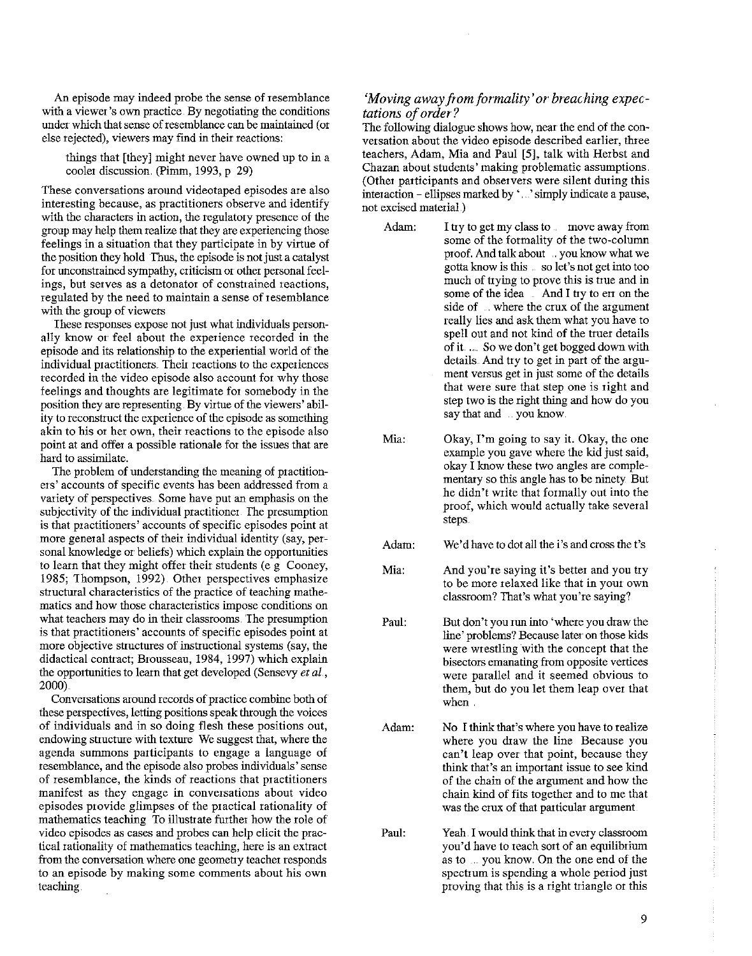An episode may indeed probe the sense of resemblance **with a viewer's own practice. By negotiating the conditions**  under which that sense of resemblance can be maintained (or **else rejected), viewers may fmd in their reactions:** 

things that [they] might never have owned up to in a cooler discussion. (Pimm, 1993, p 29)

**These conversations around videotaped episodes are also interesting because, as practitioners observe and identify with the characters in action, the regulatoty presence of the**  group may help them realize that they are experiencing those feelings in a situation that they participate in by virtue of the position they hold Thus, the episode is not just a catalyst for unconstrained sympathy, criticism or other personal feel**ings, but serves as a detonator of constrained reactions,**  regulated by the need to maintain a sense of resemblance with the group of viewers

These responses expose not just what individuals personally know or feel about the experience recorded in the episode and its relationship to the experiential world of the individual practitioners. Their reactions to the experiences recorded in the video episode also account for why those feelings and thoughts are legitimate for somebody in the **position they are representing. By virtue of the viewers' ability to reconstruct the experience of the episode as something**  akin to his or her own, their reactions to the episode also point at and offer a possible rationale for the issues that are hard to assimilate.

The problem of understanding the meaning of practition**ers' accounts of specific events has been addressed from a variety of perspectives. Some have put an emphasis on the**  subjectivity of the individual practitioner. The presumption **is that practitioners' accounts of specific episodes point at**  more general aspects of their individual identity (say, personal knowledge or beliefs) which explain the opportunities to learn that they might offer their students (e g Cooney, 1985; Thompson, 1992) Other perspectives emphasize structural characteristics of the practice of teaching mathe**matics and how those characteristics impose conditions on**  what teachers may do in their classrooms. The presumption is that practitioners' accounts of specific episodes point at **more objective stiuctures of instructional systems (say, the**  didactical contract; Brousseau, 1984, 1997) which explain the opportunities to learn that get developed (Sensevy *et al.*, 2000)

**Conversations around records of practice combine both of**  these perspectives, letting positions speak through the voices of individuals and in so doing flesh these positions out, endowing structure with texture We suggest that, where the agenda summons participants to engage a language of resemblance, and the episode also probes individuals' sense **of resemblance, the kinds of reactions that practitioners manifest as they engage in conversations about video**  episodes provide glimpses of the practical rationality of mathematics teaching To illustrate further how the role of **video episodes as cases and probes can help elicit the prac**tical rationality of mathematics teaching, here is an extract from the conversation where one geometry teacher responds **to an episode by making some comments about his own**  teaching.

## 'Moving away from formality' or breaching expec*tations of order?*

The following dialogue shows how, near the end of the conversation about the video episode described earlier, three teachers, Adam, Mia and Paul [5], talk with Herbst and Chazan about students' making problematic assumptions. (Other participants and observers were silent during this interaction- ellipses marked by '. 'simply indicate a pause, not excised material)

- Adam:
	- I try to get my class to . move away from some of the formality of the two-column proof. And talk about .. you know what we gotta know is this . so let's not get into too much of trying to prove this is tme and in some of the idea And I try to err on the side of . where the crux of the argument really lies and ask them what you have to spell out and not kind of the truer details ofit. . . So we don't get bogged down with details. And try to get in part of the argu**ment versus get in just some of the details**  that were sure that step one is right and step two is the right thing and how do you say that and .. you know.
- Mia: Okay, I'm going to say it. Okay, the one example you gave where the kid just said, okay I know these two angles are complementary so this angle has to be ninety But he didn't write that formally out into the proof, which would actually take several steps
- Adam: We'd have to dot all the i's and cross the t's
- Mia: And you're saying it's better and you try to be more relaxed like that in your own **classroom? That's what you're saying?**
- Paul: But don't you run into 'where you draw the line' problems? Because later on those kids were wrestling with the concept that the **bisectors emanating from opposite vertices**  were parallel and it seemed obvious to them, but do you let them leap over that **when.**
- Adam: No I think that's where you have to realize **where you draw the line Because you can't leap over that point, because they**  think that's an important issue to see kind of the chain of the argument and how the chain kind of fits together and to me that was the crux of that particular argument
- Paul: Yeah. I would think that in every classroom you'd have to reach sort of an equilibrium as to you know. On the one end of the spectrum is spending a whole period just proving that this is a right triangle or this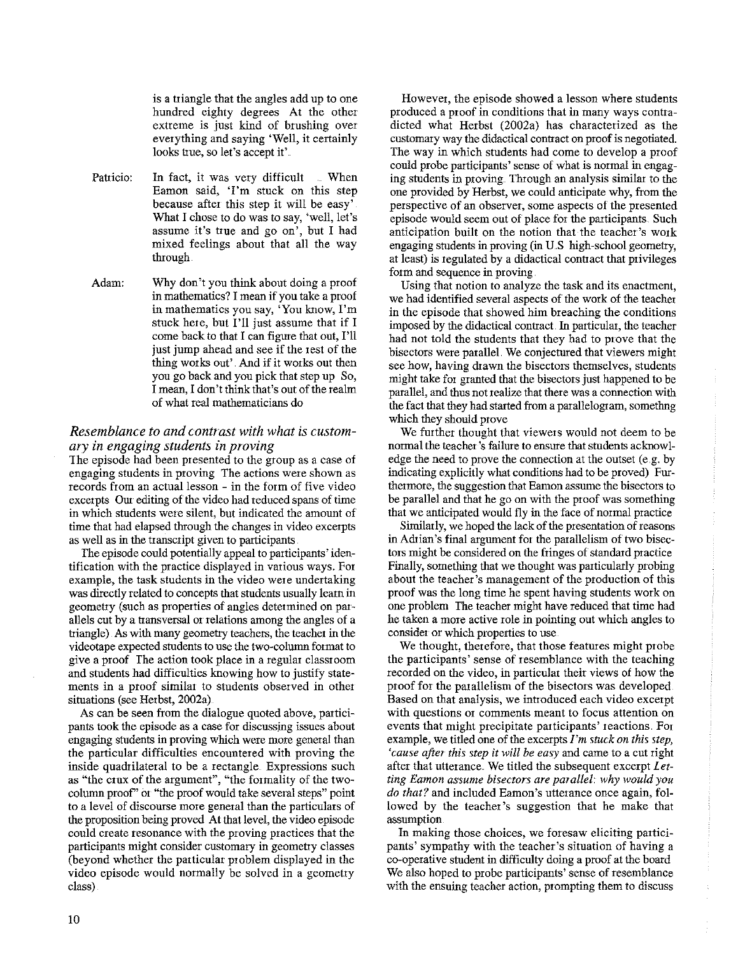is a triangle that the angles add up to one hundred eighty degrees At the other extreme is just kind of brushing over everything and saying 'Well, it certainly looks true, so let's accept it'.

- **Patricio:**  In fact, it was very difficult When Eamon said, 'I'm stuck on this step because after this step it will be easy' What I chose to do was to say, 'well, let's assume it's tiue and go on', but I had mixed feelings about that all the way through
- Adam: Why don't you think about doing a proof in mathematics? I mean if you take a proof **in mathematics you say, 'You know, I'm**  stuck here, but I'll just assume that if I come back to that I can figure that out, I'll just jump ahead and see if the rest of the thing works out' And if it works out then you go back and you pick that step up So, I mean, I don't think that's out of the realm of what real mathematicians do

## *Resemblance to and contrast with what is customary in engaging students in proving*

The episode had been presented to the group as a case of **engaging students in proving The actions were shown as**  records from an actual lesson - in the form of five video excerpts Our editing of the video had reduced spans of time in which students were silent, but indicated the amount of time that had elapsed through the changes in video excerpts as well as in the transcript given to participants

The episode could potentially appeal to participants' identification with the practice displayed in various ways. For example, the task students in the video were undertaking was directly related to concepts that students usually learn in geometry (such as properties of angles determined on parallels cut by a transversal or relations among the angles of a triangle) As with many geometry teachers, the teacher in the videotape expected students to nse the two-colurun format to give a proof The action took place in a regular classroom and students had difficulties knowing how to justify state**ments in a proof similar to students observed in other**  situations (see Herbst, 2002a)

As can be seen from the dialogue quoted above, partici**pants took the episode as a case for discussjng issues about**  engaging students in proving which were more general than the particular difficulties encountered with proving the inside quadrilateral to be a rectangle Expressions such as "the crux of the argument", "the formality of the twocolumn proof'' or "the proof would take several steps" point to a level of discourse more general than the particulars of the proposition being proved At that level, the video episode **could create resonance with the proving practices that the**  participants might consider customary in geometry classes (beyond whether the particular problem displayed in the video episode would normally be solved in a geometry class)

**However, the episode showed a lesson where students**  produced a proof in conditions that in many ways contradicted what Herbst (2002a) has characterized as the customary way the didactical contract on proof is negotiated. The way in which students had come to develop a proof could probe participants' sense of what is normal in engaging students in proving. Through an analysis similar to the one provided by Herbst, we could anticipate why, from the **perspective of an observer, some aspects of the presented**  episode would seem out of place for the participants. Such anticipation built on the notion that the teacher's work engaging students in proving (in U.S high-school geometry, at least) is regulated by a didactical contract that privileges form and sequence in proving.

Using that notion to analyze the task and its enactment, we had identified several aspects of the work of the teacher in the episode that showed him breaching the conditions imposed by the didactical contract. In particular, the teacher had not told the students that they had to prove that the bisectors were parallel. We conjectured that viewers might **see how, having drawn the bisectors themselves, students**  might take for granted that the bisectors just happened to be parallel, and thus not realize that there was a connection with the fact that they had started from a parallelogram, somefhng which they should prove

We further thought that viewers would not deem to be normal the teacher's failure to ensure that students acknowledge the need to prove the connection at the outset (e.g. by indicating explicitly what conditions had to be proved) Fur**thermore, the suggestion that Eamon assume the bisectors to**  be parallel and that he go on with the proof was something that we anticipated would fly in the face of normal practice

Similarly, we hoped the lack of the presentation of reasons in Adrian's final argument for the parallelism of two bisectors might be considered on the fringes of standard practice Finally, something that we thought was particularly probing about the teacher's management of the production of this proof was the long time he spent having students work on one problem *The* teacher might have reduced that time had he taken a more active role in pointing out which angles to **consider or which properties to use** 

We thought, therefore, that those features might probe the participants' sense of resemblance with the teaching **recorded on the video, in particular their views of how the**  proof for the parallelism of the bisectors was developed Based on that analysis, we introduced each video excerpt **with questions or comments meant to focus attention on**  events that might precipitate participants' reactions. For example, we titled one of the excerpts *I'm stuck on this step, 'cause after this step it will be easy* and came to a cut right after that utterance. We titled the subsequent excerpt *Letting Eamon assume bisectors are parallel why would you do that?* **and included Eamon's utterance once again, fol**lowed by the teacher's suggestion that he make that **assumption** 

**In making those choices, we foresaw eliciting partici**pants' sympathy with the teacher's situation of having a co-operative student in difficulty doing a proof at the board We also hoped to probe participants' sense of resemblance **with the ensuing teacher action, prompting them to discuss**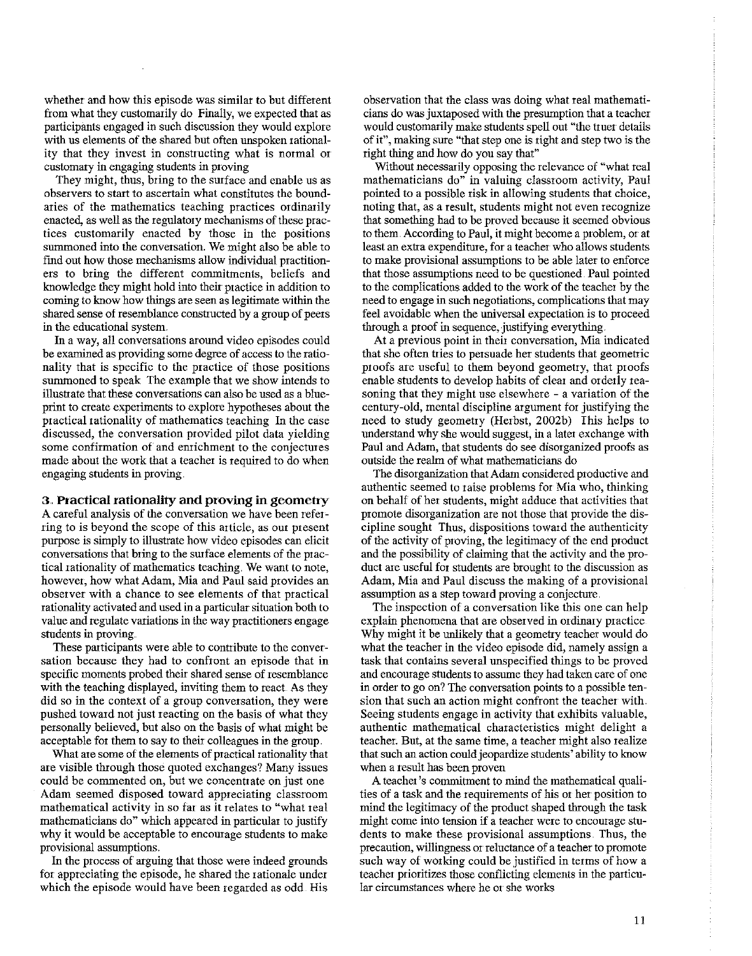whether and how this episode was similar to but different from what they customatily do Finally, we expected that as patticipants engaged in such discussion they would explore with us elements of the shared but often unspoken rational**ity that they invest in constructing what is normal or** customaty in engaging students in proving

They might, thus, bring to the surface and enable us as **observers to start to ascertain what constitutes the bound**aries of the mathematics teaching practices ordinatily enacted, as well as the regulatory mechanisms of these practices customatily enacted by those in the positions summoned into the conversation. We might also be able to find out how those mechanisms allow individual practitioners to bring the different commitments, beliefs and knowledge they might hold into their practice in addition to coming to know how things ate seen as legitimate within the shared sense of resemblance constructed by a group of peers **in the educational system.** 

In a way, all conversations around video episodes could be examined as providing some degree of access to the rationality that is specific to the practice of those positions summoned to speak The example that we show intends to illustrate that these conversations can also be used as a blueprint to create experiments to explore hypotheses about the practical rationality of mathematics teaching In the case discussed, the conversation provided pilot data yielding **some confirmation of and enrichment to the conjectures**  made about the work that a teacher is required to do when engaging students in proving

## 3 .. **Practical rationality and proving in geometty**

**A careful analysis of the conversation we have been refer**ring to is beyond the scope of this article, as our present purpose is simply to illustrate how video episodes can elicit conversations that bring to the surface elements of the prac**tical rationality of mathematics teaching. We want to note,**  however, how what Adam, Mia and Paul said provides an observer with a chance to see elements of that practical rationality activated and used in a patticulat situation both to value and regulate variations in the way practitioners engage students in proving

**These participants were able to contribute to the conver**sation because they had to confront an episode that in specific moments probed their shated sense of resemblance with the teaching displayed, inviting them to react. As they **did so in the context of a group conversation, they were**  pushed toward not just reacting on the basis of what they personally believed, but also on the basis of what might be acceptable for them to say to their colleagues in the group.

What ate some of the elements of practical rationality that are visible tinough those quoted exchanges? Many issues **could be commented on, but we concentrate on just one**  Adam seemed disposed towatd appreciating classroom **mathematical activity in so far as it relates to "what real**  mathematicians do" which appeared in patticular to justify why it would be acceptable to encourage students to make **provisional assumptions.** 

In the process of atguing that those were indeed grounds for appreciating the episode, he shared the rationale under which the episode would have been regarded as odd. His

observation that the class was doing what real mathematicians do was juxtaposed with the presumption that a teacher would customatily make students spell out "the truer details of it", making sure "that step one is right and step two is the right thing and how do you say that"

Without necessatily opposing the relevance of "what real **mathematicians do" in valuing classroom activity, Paul**  pointed to a possible risk in allowing students that choice, **noting that, as a result, students might not even recognize**  that something had to be proved because it seemed obvious to them. According to Paul, it might become a problem, or at least an extra expenditure, for a teacher who allows students to make provisional assumptions to be able later to enforce that those assumptions need to be questioned. Paul pointed to the complications added to the work of the teacher by the need to engage in such negotiations, complications that may feel avoidable when the universal expectation is to proceed through a proof in sequence, justifying everything.

**At a previous point in their conversation, Mia indicated**  that she often tries to persuade her students that geometric proofs are useful to them beyond geometry, that proofs enable students to develop habits of clear and orderly reasoning that they might use elsewhere - a variation of the century-old, mental discipline atgument for justifying the need to study geometry (Herbst, 2002b) This helps to understand why she would suggest, in a later exchange with Paul and Adam, that students do see disorganized proofs as outside the reahn of what mathematicians do

The disorganization that Adam considered productive and authentic seemed to raise problems for Mia who, thinking on behalf of her students, might adduce that activities that promote disorganization are not those that provide the discipline sought Thus, dispositions toward the authenticity of the activity of proving, the legitimacy of the end product and the possibility of claiming that the activity and the product ate useful for students are brought to the discussion as Adam, Mia and Paul discuss the making of a provisional **assumption as a step toward proving a conjecture** 

**The inspection of a conversation like this one can help**  explain phenomena that are observed in ordinary practice Why might it be unlikely that a geometry teacher would do what the teacher in the video episode did, namely assign a task that contains several unspecified things to be proved and encourage students to assume they had taken care of one **in order to go on? The conversation points to a possible tension that such an action might confront the teacher with**  Seeing students engage in activity that exhibits valuable, authentic mathematical characteristics might delight a **teacher. But, at the same time, a teacher might also realize**  that such an action could jeopardize students' ability to know **when a result has been proven** 

A teacher's commitment to mind the mathematical qualities of a task and the requirements of his 01 her position to mind the legitimacy of the product shaped tinough the task **might come into tension if a teacher were to encourage students to make these provisional assumptions. Thus, the precaution, willingness or reluctance of a teacher to promote**  such way of working could be justified in terms of how a teacher prioritizes those conflicting elements in the particu**lar circumstances where he or she works**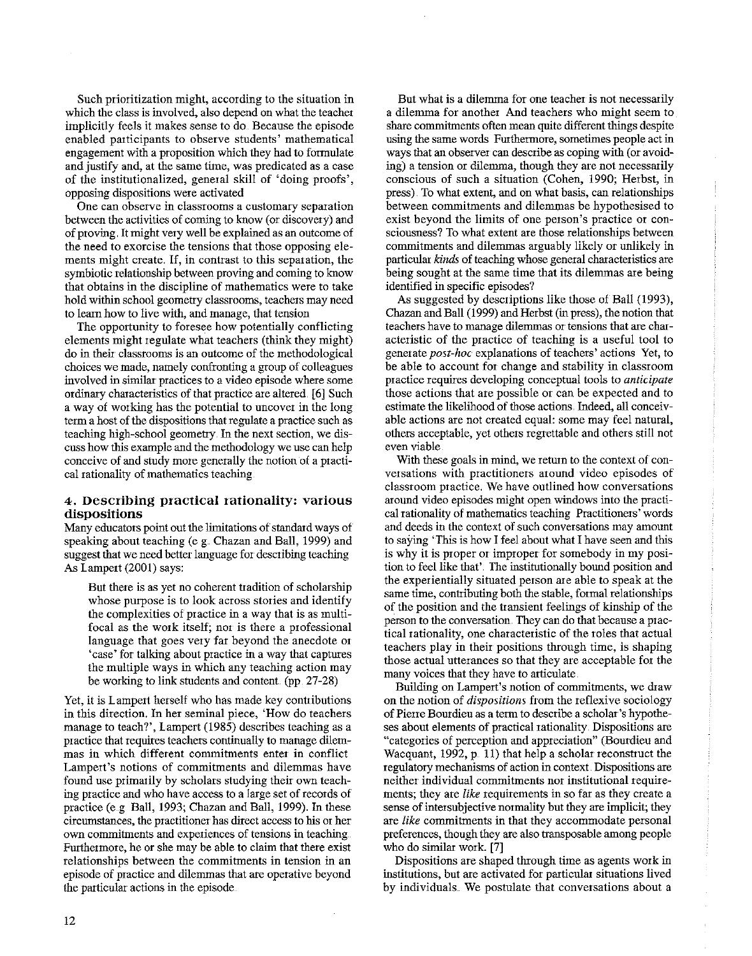Such prioritization might, according to the situation in which the class is involved, also depend on what the teacher implicitly feels it makes sense to do. Because the episode **enabled participants to observe students' mathematical**  engagement with a proposition which they had to formulate **and justify and, at the same time, was predicated as a case**  of the institutionalized, general skill of 'doing proofs', **opposing dispositions were activated** 

**One can observe in classrooms a customary separation**  between the activities of coming to know (or discovery) and of proving, It might very well be explained as an outcome of **the need to exorcise the tensions that those opposing ele**ments might create. If, in contrast to this separation, the symbiotic relationship between proving and coming to know that obtains in the discipline of mathematics were to take hold within school geometty classrooms, teachers may need **to learn how to live with, and manage, that tension** 

The oppottunity to foresee how potentially conflicting elements might regulate what teachers (think they might) do in their classrooms is an outcome of the methodological choices we made, namely confronting a group of colleagues **involved in similar· practices to a video episode where some**  ordinary characteristics of that practice are altered. [6] Such a way of working has the potential to uncover in the long term a host of the dispositions that regulate a practice such as teaching high-school geometty. In the next section, we discuss how this example and the methodology we use can help conceive of and study more generally the notion of a practical rationality of mathematics teaching

## **4. Describing practical rationality: various dispositions**

Many educators point out the limitations of standard ways of speaking about teaching (e g Chazan and Ball, 1999) and suggest that we need better language for describing teaching As Lampert (2001) says:

But there is as yet no coherent ttadition of scholarship whose purpose is to look across stories and identify the complexities of practice in a way that is as multi**focal as the work itself; nor is there a professional**  language that goes very far beyond the anecdote or 'case' for talking about practice in a way that captures the multiple ways in which any teaching action may be working to link students and content. (pp. 27-28)

Yet, it is Lampert herself who has made key contributions in this direction. In her seminal piece, 'How do teachers manage to teach?', Lampert (1985) describes teaching as a practice that requires teachers continually to manage dilem**mas in which different commitments enter in conflict Lampert's notions of commitments and dilemmas have**  found use primarily by scholars studying their own teaching practice and who have access to a large set of records of practice (e.g. Ball, 1993; Chazan and Ball, 1999). In these **circumstances, the practitioner has direct access to his m her own commitments and experiences of tensions in teaching**  Furthermore, he or she may be able to claim that there exist **relationships between the commitments in tension in an**  episode of practice and dilemmas that are operative beyond the particular actions in the episode.

But what is a dilemma for one teacher is not necessarily a dilemma for another And teachers who might seem to share committnents often mean quite different things despite using the same words Furthermore, sometimes people act in ways that an observer can describe as coping with (or avoiding) a tension or dilemma, though they are not necessarily **conscious of such a situation (Cohen, 1990; Herbst, in**  press). To what extent, and on what basis, can relationships between commitments and dilemmas be hypothesised to **exist beyond the limits of one person's practice or consciousness? To what extent are those relationships between**  commitments and dilemmas arguably likely or unlikely in particular *kinds* of teaching whose general characteristics are being sought at the same time that its dilemmas are being identified in specific episodes?

As suggested by descriptions like those of Ball (1993), Chazan and Ball (1999) and Herbst (in press), the notion that teachers have to manage dilemmas or tensions that are characteristic of the practice of teaching is a useful tool to **generate** *post-hoc* **explanations of teachers' actions Yet, to**  be able to account for change and stability in classroom **practice requires developing conceptual tools to** *anticipate*  those actions that are possible or can be expected and to estimate the likelihood of those actions. Indeed, all conceiv**able actions are not created equal: some may feel natural,**  others acceptable, yet others regrettable and others still not **even viable** 

With these goals in mind, we return to the context of con**versations with practitioners around video episodes of classroom practice. We have outlined how conversations**  around video episodes might open windows into the practical rationality of mathematics teaching Practitioners' words and deeds in the context of such conversations may amount to saying 'This is how I feel about what I have seen and this is why it is proper or improper for somebody in my position to feel like that'. The institutionally bound position and the experientially situated person are able to speak at the same time, contributing both the stable, formal relationships of the position and the ttansient feelings of kinship of the **person to the conversation. They can do that because a prac**tical rationality, one characteristic of the toles that actual teachers play in their positions through time, is shaping those actual utterances so that they are acceptable for the many voices that they have to articulate.

Building on Lampert's notion of commitments, we draw **on the notion of** *dispositions* **from the reflexive sociology**  of Pierre Bourdieu as a term to describe a scholar's hypothe**ses about elements of practical rationality. Dispositions are "categoties of perception and appreciation" (Bourdieu and**  Wacquant, 1992,  $p_{n}$  11) that help a scholar reconstruct the regulatory mechanisms of action in context. Dispositions are **neither individual commitments nor institutional requirements; they are** *like* **requirements in so far as they create a**  sense of intersubjective normality but they are implicit; they are *like* committnents in that they accommodate personal preferences, though they are also ttansposable among people who do similar work [7]

Dispositions are shaped through time as agents work in **institutions, but are activated for particular situations lived**  by individuals. We postulate that conversations about a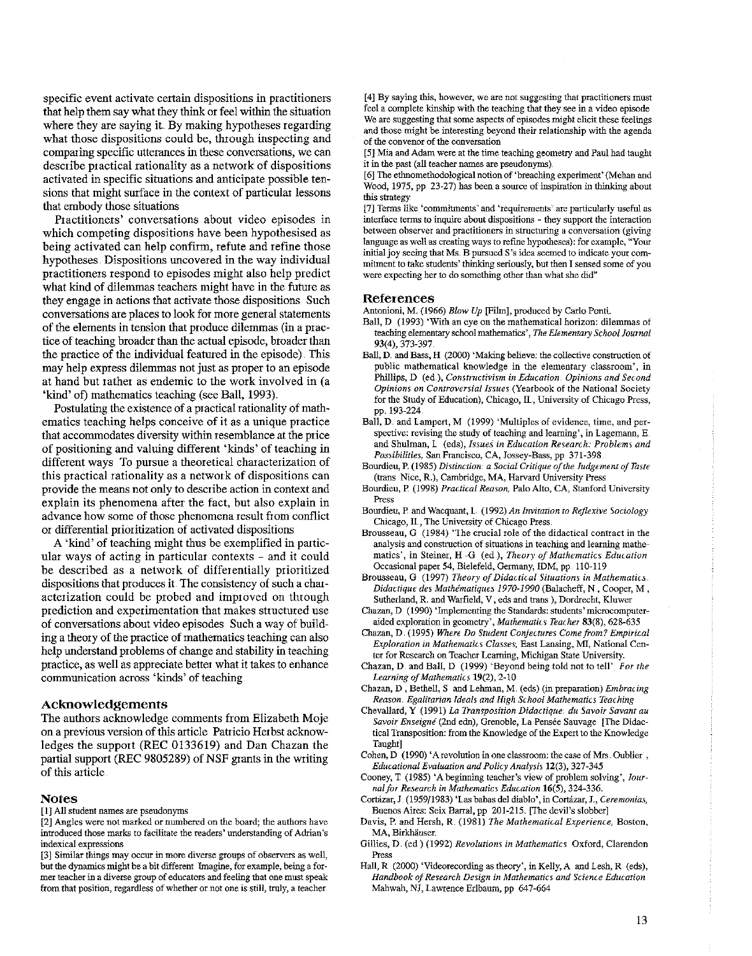specific event activate certain dispositions in practitioners that help them say what they think or feel within the situation where they are saying it. By making hypotheses regarding what those dispositions could be, through inspecting and comparing specific utterances in these conversations, we can desciibe practical rationality as a netwotk of dispositions activated in specific situations and anticipate possible tensions that might surface in the context of particular lessons that embody those situations

Practitioners' conversations about video episodes in which competing dispositions have been hypothesised as being activated can help confirm, refute and refine those hypotheses. Dispositions uncovered in the way individual practitioners respond to episodes might also help predict what kind of dilemmas teachers might have in the future as they engage in actions that activate those dispositions Such conversations are places to look for more general statements of the elements in tension that produce dilemmas (in a practice of teaching broader than the actual episode, broader than the practice of the individual featured in the episode) This may help express dilemmas not just as proper to an episode at hand but rather as endemic to the work involved in (a 'kind' of) mathematics teaching (see Ball, 1993).

Postulating the existence of a practical rationality of mathematics teaching helps conceive of it as a unique practice that accommodates diversity within resemblance at the price of positioning and valuing different 'kinds' of teaching in different ways To pursue a theoretical characterization of this practical rationality as a network of dispositions can provide the means not only to describe action in context and explain its phenomena after the fact, but also explain in advance how some of those phenomena result from conflict or differential prioritization of activated dispositions

A 'kind' of teaching might thus be exemplified in particular ways of acting in particular contexts - and it could be described as a network of differentially prioritized dispositions that produces it The consistency of such a characterization could be probed and imptoved on through prediction and expeiimentation that makes structured use of conversations about video episodes Such a way of building a theoty of the practice of mathematics teaching can also help understand problems of change and stability in teaching practice, as well as appreciate better what it takes to enhance communication across 'kinds' of teaching

#### Acknowledgements

The authors acknowledge comments from Elizabeth Moje on a previous version of this article Patiicio Herbst acknowledges the suppott (REC 0133619) and Dan Chazan the partial suppott (REC 9805289) of NSF grants in the writing of this article

## **Notes**

[1] All student names are pseudonyms

[2] Angles were not marked or numbered on the board; the authors have introduced those marks to facilitate the readers' understanding of Adrian's indexical expressions

[3] Similar things may occur in more diverse groups of observers as well, but the dynamics might be a bit different Imagine, for example, being a former teacher in a diverse group of educators and feeling that one must speak from that position, regardless of whether or not one is still, truly, a teacher

[4] By saying this, however, we are not suggesting that practitioners must feel a complete kinship with the teaching that they see in a video episode We are suggesting that some aspects of episodes might elicit these feelings and those might be interesting beyond their relationship with the agenda of the convenor of the conversation

[5] Mia and Adam were at the time teaching geometry and Paul had taught it in the past (all teacher names are pseudonyms)

[6] The ethnomethodological notion of 'breaching experiment' (Mehan and Wood, 1975, pp 23-27) has been a source of inspiration in thinking about this strategy

[7] Terms like 'commitments' and 'requirements' are particularly useful as interface terms to inquire about dispositions - they support the interaction between observer and practitioners in structuring a conversation (giving language as well as creating ways to refine hypotheses): for example, "Your initial joy seeing that Ms. B pursued S's idea seemed to indicate your commitment to take students' thinking seriously, but then I sensed some of you were expecting her to do something other than what she did"

#### References

Antonioni, M. (1966) *Blow Up* [Film], produced by Carlo Ponti.

- Ball, D (1993) 'With an eye on the mathematical horizon: dilemmas of teaching elementary school mathematics', *The Elementary School Journal*  93(4), 373-397.
- Ball, D. and Bass, H (2000) 'Making believe: the collective construction of public mathematical knowledge in the elementary classroom', in Phillips, D (ed.), *Constructivism in Education. Opinions and Second Opinions on Controversial Issues* (Yearbook of the National Society for the Study of Education), Chicago, Il, University of Chicago Press, pp. 193-224
- Ball, D. and Lampert, M (1999) 'Multiples of evidence, time, and perspective: revising the study of teaching and learning', in Lagemann, E. and Shulman, L (eds), *Issues in Education Research: Problems and Poss·ibilitie.s,* San Francisco, CA, Jossey-Bass, pp 371-398
- Bourdieu, P. (1985) *Distinction: a Social Critique of the Judgement of Taste*  (trans Nice, R.), Cambridge, MA, Harvard University Press
- Bourdieu, P (1998) *Practical Reason,* Palo Alto, CA, Stanford University Press
- Bourdieu, P and Wacquant, L (1992) *An Invitation to Reflexive Sociology*  Chicago, Il, The University of Chicago Press.
- Brousseau, G (1984) 'The crucial role of the didactical contract in the analysis and construction of situations in teaching and learning mathematics', in Steiner, H -G (ed ), *Theory of Mathematics Education* Occasional paper 54, Bielefeld, Germany, IDM, pp. 110-119
- Brousseau, G (1997) *Theory of Didaaical Situations in Mathematics Didactique des Mathimatiques 1970-1990* (Balacheff, N, Cooper, M, Sutherland, R. and Warfield, V, eds and trans ), Dordrecht, Kluwer
- Chazan, D (1990) 'Implementing the Standards: students' microcomputeraided exploration in geometry', *Mathematics Teacher* 83(8), 628-635
- Chazan, D. (1995) *Where Do Student Conjectures Come from? Empirical Exploration in Mathematics Classes, East Lansing, MI, National Cen*ter for Research on Teacher Learning, Michigan State University.
- Chazan, D and Ball, D (1999) 'Beyond being told not to tell' For the *Learning of Mathematics* 19(2), 2-10
- Chazan, D, Bethell, S and Lehman, M. (eds) (in preparation) *Embracing Reason. Egalitarian Ideals and High School Mathematics Teaching*
- Chevallard, Y (1991) *La Tramposition Didactique. du Savoir Savant au*  Savoir Enseigné (2nd edn), Grenoble, La Pensée Sauvage [The Didactical Transposition: from the Knowledge of the Expert to the Knowledge Taught]
- Cohen, D (1990) 'A revolution in one classroom: the case of Mrs. Oublier , *Educational Evaluation and Policy Analysis* 12(3), 327-345
- Cooney, T (1985) 'A beginning teacher's view of problem solving', *Journalfor Research in Mathematics Education* 16(5), 324-336.
- Cortázar, J. (1959/1983) 'Las babas del diablo', in Cortázar, J., Ceremonias, Buenos Aires: Seix Barral, pp 201-215. [The devil's slobber]
- Davis, P. and Hersh, R. (1981) *The Mathematical Experience,* Boston, MA, Birkhäuser.
- Gillies, D. (ed) (1992) *Revolutions in Mathematics* Oxford, Clarendon Press
- Hall, R (2000) 'Videorecording as theory', in Kelly, A and Lesh, R (eds), Handbook of Research Design in Mathematics and Science Education Mahwah, NJ, Lawrence Erlbaum, pp 647-664